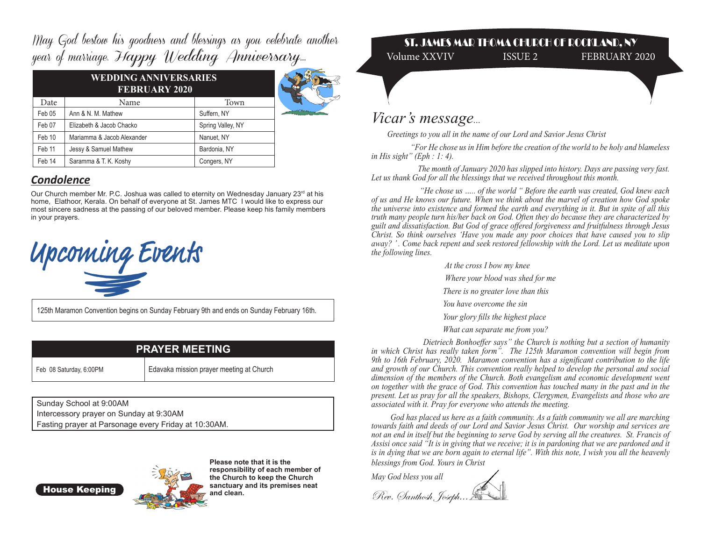May God bestow his goodness and blessings as you celebrate another year of marriage. Happy Wedding Anniversary...

| <b>WEDDING ANNIVERSARIES</b><br><b>FEBRUARY 2020</b> |                            |                   |  |
|------------------------------------------------------|----------------------------|-------------------|--|
| Date                                                 | Name                       | Town              |  |
| Feb 05                                               | Ann & N. M. Mathew         | Suffern, NY       |  |
| Feb 07                                               | Elizabeth & Jacob Chacko   | Spring Valley, NY |  |
| Feb 10                                               | Mariamma & Jacob Alexander | Nanuet, NY        |  |
| Feb 11                                               | Jessy & Samuel Mathew      | Bardonia, NY      |  |
| Feb 14                                               | Saramma & T. K. Koshy      | Congers, NY       |  |

## *Condolence*

Our Church member Mr. P.C. Joshua was called to eternity on Wednesday January 23<sup>rd</sup> at his home, Elathoor, Kerala. On behalf of everyone at St. James MTC I would like to express our most sincere sadness at the passing of our beloved member. Please keep his family members in your prayers.



125th Maramon Convention begins on Sunday February 9th and ends on Sunday February 16th.

| <b>PRAYER MEETING</b>   |                                          |  |
|-------------------------|------------------------------------------|--|
| Feb 08 Saturday, 6:00PM | Edavaka mission prayer meeting at Church |  |

Sunday School at 9:00AM Intercessory prayer on Sunday at 9:30AM Fasting prayer at Parsonage every Friday at 10:30AM.

House Keeping



**Please note that it is the responsibility of each member of the Church to keep the Church sanctuary and its premises neat and clean.** 

## ST. JAMES MAR THOMA CHURCH OF ROCKLAND, NY Volume XXVIV ISSUE 2 FEBRUARY 2020

*Vicar's message...* 

 *Greetings to you all in the name of our Lord and Savior Jesus Christ*

 *"For He chose us in Him before the creation of the world to be holy and blameless in His sight" (Eph : 1: 4).*

 *The month of January 2020 has slipped into history. Days are passing very fast. Let us thank God for all the blessings that we received throughout this month.*

 *"He chose us ….. of the world " Before the earth was created, God knew each of us and He knows our future. When we think about the marvel of creation how God spoke the universe into existence and formed the earth and everything in it. But in spite of all this truth many people turn his/her back on God. Often they do because they are characterized by guilt and dissatisfaction. But God of grace offered forgiveness and fruitfulness through Jesus Christ. So think ourselves 'Have you made any poor choices that have caused you to slip away? ' . Come back repent and seek restored fellowship with the Lord. Let us meditate upon the following lines.*

> *At the cross I bow my knee Where your blood was shed for me There is no greater love than this You have overcome the sin Your glory fills the highest place What can separate me from you?*

 *Dietriech Bonhoeffer says" the Church is nothing but a section of humanity in which Christ has really taken form". The 125th Maramon convention will begin from 9th to 16th February, 2020. Maramon convention has a significant contribution to the life and growth of our Church. This convention really helped to develop the personal and social dimension of the members of the Church. Both evangelism and economic development went on together with the grace of God. This convention has touched many in the past and in the present. Let us pray for all the speakers, Bishops, Clergymen, Evangelists and those who are associated with it. Pray for everyone who attends the meeting.* 

 *God has placed us here as a faith community. As a faith community we all are marching towards faith and deeds of our Lord and Savior Jesus Christ. Our worship and services are not an end in itself but the beginning to serve God by serving all the creatures. St. Francis of Assisi once said "It is in giving that we receive; it is in pardoning that we are pardoned and it is in dying that we are born again to eternal life". With this note, I wish you all the heavenly blessings from God. Yours in Christ* 

*May God bless you all*

Rev. Santhosh, Joseph...